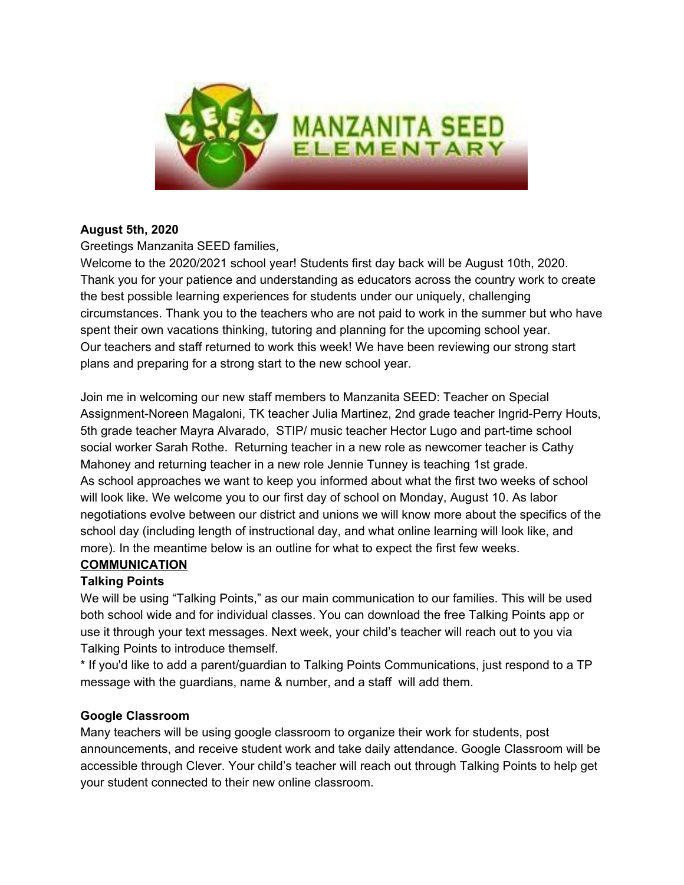

## **August 5th, 2020**

Greetings Manzanita SEED families,

Welcome to the 2020/2021 school year! Students first day back will be August 10th, 2020. Thank you for your patience and understanding as educators across the country work to create the best possible learning experiences for students under our uniquely, challenging circumstances. Thank you to the teachers who are not paid to work in the summer but who have spent their own vacations thinking, tutoring and planning for the upcoming school year. Our teachers and staff returned to work this week! We have been reviewing our strong start plans and preparing for a strong start to the new school year.

Join me in welcoming our new staff members to Manzanita SEED: Teacher on Special Assignment-Noreen Magaloni, TK teacher Julia Martinez, 2nd grade teacher Ingrid-Perry Houts, 5th grade teacher Mayra Alvarado, STIP/ music teacher Hector Lugo and part-time school social worker Sarah Rothe. Returning teacher in a new role as newcomer teacher is Cathy Mahoney and returning teacher in a new role Jennie Tunney is teaching 1st grade. As school approaches we want to keep you informed about what the first two weeks of school will look like. We welcome you to our first day of school on Monday, August 10. As labor negotiations evolve between our district and unions we will know more about the specifics of the school day (including length of instructional day, and what online learning will look like, and more). In the meantime below is an outline for what to expect the first few weeks.

## **COMMUNICATION**

# **Talking Points**

We will be using "Talking Points," as our main communication to our families. This will be used both school wide and for individual classes. You can download the free Talking Points app or use it through your text messages. Next week, your child's teacher will reach out to you via Talking Points to introduce themself.

\* If you'd like to add a parent/guardian to Talking Points Communications, just respond to a TP message with the guardians, name & number, and a staff will add them.

## **Google Classroom**

Many teachers will be using google classroom to organize their work for students, post announcements, and receive student work and take daily attendance. Google Classroom will be accessible through Clever. Your child's teacher will reach out through Talking Points to help get your student connected to their new online classroom.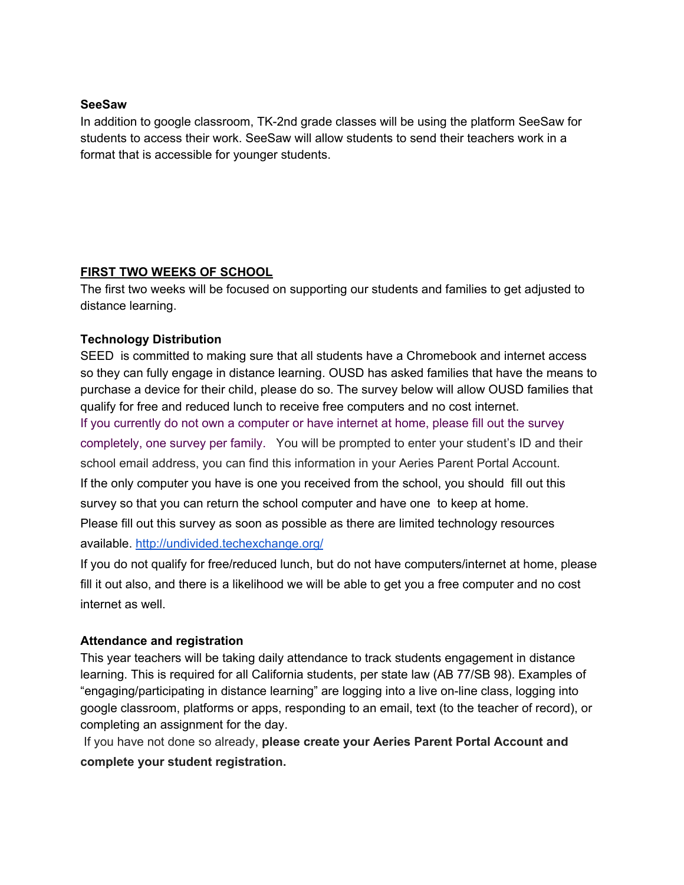### **SeeSaw**

In addition to google classroom, TK-2nd grade classes will be using the platform SeeSaw for students to access their work. SeeSaw will allow students to send their teachers work in a format that is accessible for younger students.

## **FIRST TWO WEEKS OF SCHOOL**

The first two weeks will be focused on supporting our students and families to get adjusted to distance learning.

### **Technology Distribution**

SEED is committed to making sure that all students have a Chromebook and internet access so they can fully engage in distance learning. OUSD has asked families that have the means to purchase a device for their child, please do so. The survey below will allow OUSD families that qualify for free and reduced lunch to receive free computers and no cost internet. If you currently do not own a computer or have internet at home, please fill out the survey completely, one survey per family. You will be prompted to enter your student's ID and their school email address, you can find this information in your Aeries Parent Portal Account. If the only computer you have is one you received from the school, you should fill out this survey so that you can return the school computer and have one to keep at home. Please fill out this survey as soon as possible as there are limited technology resources available. <http://undivided.techexchange.org/>

If you do not qualify for free/reduced lunch, but do not have computers/internet at home, please fill it out also, and there is a likelihood we will be able to get you a free computer and no cost internet as well.

### **Attendance and registration**

This year teachers will be taking daily attendance to track students engagement in distance learning. This is required for all California students, per state law (AB 77/SB 98). Examples of "engaging/participating in distance learning" are logging into a live on-line class, logging into google classroom, platforms or apps, responding to an email, text (to the teacher of record), or completing an assignment for the day.

If you have not done so already, **please create your Aeries Parent Portal Account and complete your student registration.**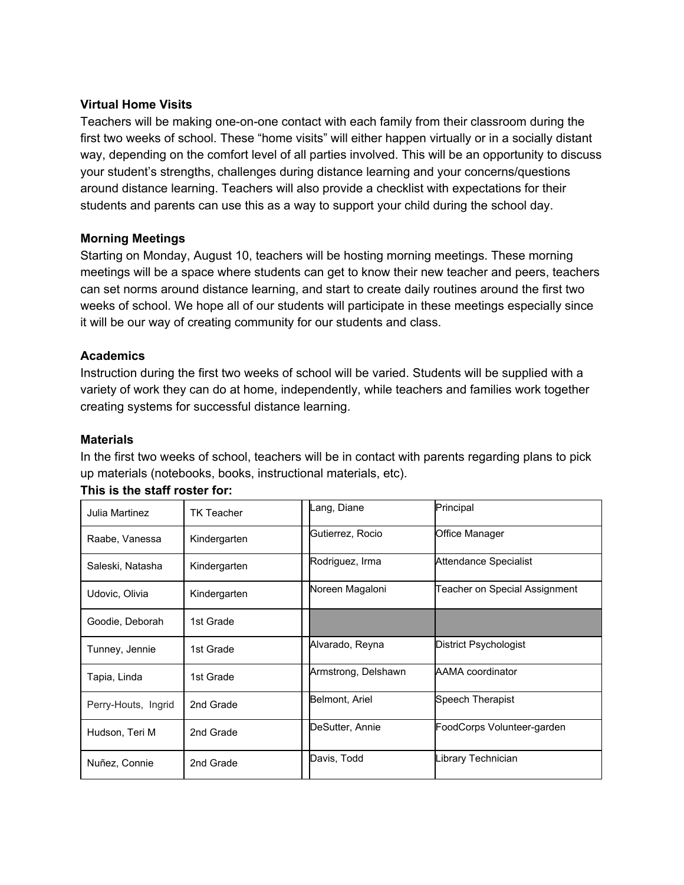### **Virtual Home Visits**

Teachers will be making one-on-one contact with each family from their classroom during the first two weeks of school. These "home visits" will either happen virtually or in a socially distant way, depending on the comfort level of all parties involved. This will be an opportunity to discuss your student's strengths, challenges during distance learning and your concerns/questions around distance learning. Teachers will also provide a checklist with expectations for their students and parents can use this as a way to support your child during the school day.

### **Morning Meetings**

Starting on Monday, August 10, teachers will be hosting morning meetings. These morning meetings will be a space where students can get to know their new teacher and peers, teachers can set norms around distance learning, and start to create daily routines around the first two weeks of school. We hope all of our students will participate in these meetings especially since it will be our way of creating community for our students and class.

#### **Academics**

Instruction during the first two weeks of school will be varied. Students will be supplied with a variety of work they can do at home, independently, while teachers and families work together creating systems for successful distance learning.

#### **Materials**

In the first two weeks of school, teachers will be in contact with parents regarding plans to pick up materials (notebooks, books, instructional materials, etc).

| Julia Martinez      | <b>TK Teacher</b> | Lang, Diane         | Principal                     |
|---------------------|-------------------|---------------------|-------------------------------|
| Raabe, Vanessa      | Kindergarten      | Gutierrez, Rocio    | <b>Office Manager</b>         |
| Saleski, Natasha    | Kindergarten      | Rodriguez, Irma     | Attendance Specialist         |
| Udovic, Olivia      | Kindergarten      | Noreen Magaloni     | Teacher on Special Assignment |
| Goodie, Deborah     | 1st Grade         |                     |                               |
| Tunney, Jennie      | 1st Grade         | Alvarado, Reyna     | District Psychologist         |
| Tapia, Linda        | 1st Grade         | Armstrong, Delshawn | <b>AAMA</b> coordinator       |
| Perry-Houts, Ingrid | 2nd Grade         | Belmont, Ariel      | Speech Therapist              |
| Hudson, Teri M      | 2nd Grade         | DeSutter, Annie     | FoodCorps Volunteer-garden    |
| Nuñez, Connie       | 2nd Grade         | Davis, Todd         | Library Technician            |

#### **This is the staff roster for:**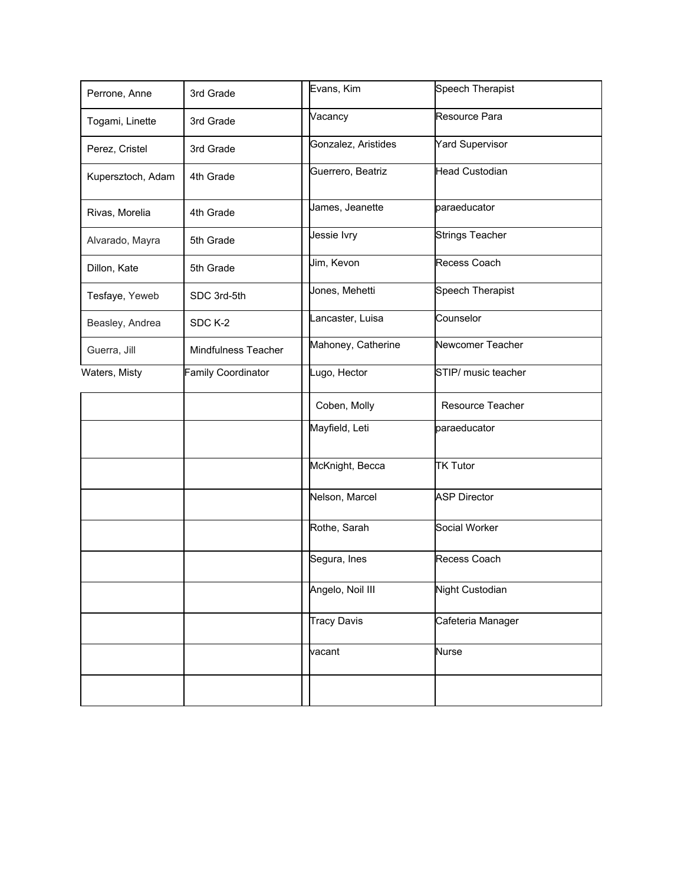| Perrone, Anne     | 3rd Grade                  | Evans, Kim          | Speech Therapist       |
|-------------------|----------------------------|---------------------|------------------------|
| Togami, Linette   | 3rd Grade                  | Vacancy             | Resource Para          |
| Perez, Cristel    | 3rd Grade                  | Gonzalez, Aristides | <b>Yard Supervisor</b> |
| Kupersztoch, Adam | 4th Grade                  | Guerrero, Beatriz   | <b>Head Custodian</b>  |
| Rivas, Morelia    | 4th Grade                  | James, Jeanette     | paraeducator           |
| Alvarado, Mayra   | 5th Grade                  | Jessie lvry         | <b>Strings Teacher</b> |
| Dillon, Kate      | 5th Grade                  | Jim, Kevon          | Recess Coach           |
| Tesfaye, Yeweb    | SDC 3rd-5th                | Jones, Mehetti      | Speech Therapist       |
| Beasley, Andrea   | SDC K-2                    | Lancaster, Luisa    | Counselor              |
| Guerra, Jill      | <b>Mindfulness Teacher</b> | Mahoney, Catherine  | Newcomer Teacher       |
| Waters, Misty     | Family Coordinator         | Lugo, Hector        | STIP/ music teacher    |
|                   |                            | Coben, Molly        | Resource Teacher       |
|                   |                            | Mayfield, Leti      | paraeducator           |
|                   |                            | McKnight, Becca     | <b>TK Tutor</b>        |
|                   |                            | Nelson, Marcel      | <b>ASP Director</b>    |
|                   |                            | Rothe, Sarah        | Social Worker          |
|                   |                            | Segura, Ines        | Recess Coach           |
|                   |                            | Angelo, Noil III    | Night Custodian        |
|                   |                            | <b>Tracy Davis</b>  | Cafeteria Manager      |
|                   |                            | vacant              | <b>Nurse</b>           |
|                   |                            |                     |                        |